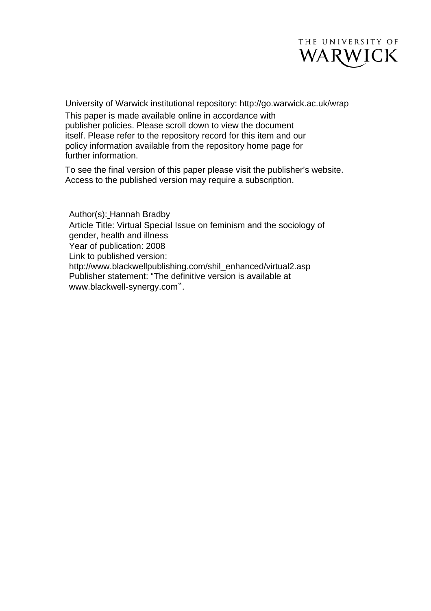

University of Warwick institutional repository: <http://go.warwick.ac.uk/wrap> This paper is made available online in accordance with publisher policies. Please scroll down to view the document itself. Please refer to the repository record for this item and our policy information available from the repository home page for further information.

To see the final version of this paper please visit the publisher's website. Access to the published version may require a subscription.

Author(s): Hannah Bradby Article Title: Virtual Special Issue on feminism and the sociology of gender, health and illness Year of publication: 2008 Link to published version: http://www.blackwellpublishing.com/shil\_enhanced/virtual2.asp Publisher statement: "The definitive version is available at www.blackwell-synergy.com".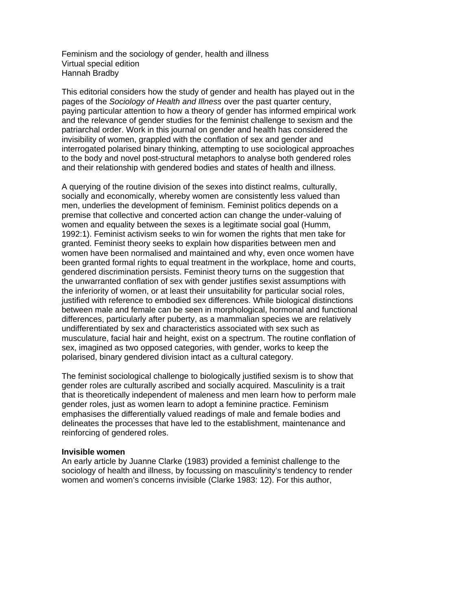Feminism and the sociology of gender, health and illness Virtual special edition Hannah Bradby

This editorial considers how the study of gender and health has played out in the pages of the *Sociology of Health and Illness* over the past quarter century, paying particular attention to how a theory of gender has informed empirical work and the relevance of gender studies for the feminist challenge to sexism and the patriarchal order. Work in this journal on gender and health has considered the invisibility of women, grappled with the conflation of sex and gender and interrogated polarised binary thinking, attempting to use sociological approaches to the body and novel post-structural metaphors to analyse both gendered roles and their relationship with gendered bodies and states of health and illness.

A querying of the routine division of the sexes into distinct realms, culturally, socially and economically, whereby women are consistently less valued than men, underlies the development of feminism. Feminist politics depends on a premise that collective and concerted action can change the under-valuing of women and equality between the sexes is a legitimate social goal (Humm, 1992:1). Feminist activism seeks to win for women the rights that men take for granted. Feminist theory seeks to explain how disparities between men and women have been normalised and maintained and why, even once women have been granted formal rights to equal treatment in the workplace, home and courts, gendered discrimination persists. Feminist theory turns on the suggestion that the unwarranted conflation of sex with gender justifies sexist assumptions with the inferiority of women, or at least their unsuitability for particular social roles, justified with reference to embodied sex differences. While biological distinctions between male and female can be seen in morphological, hormonal and functional differences, particularly after puberty, as a mammalian species we are relatively undifferentiated by sex and characteristics associated with sex such as musculature, facial hair and height, exist on a spectrum. The routine conflation of sex, imagined as two opposed categories, with gender, works to keep the polarised, binary gendered division intact as a cultural category.

The feminist sociological challenge to biologically justified sexism is to show that gender roles are culturally ascribed and socially acquired. Masculinity is a trait that is theoretically independent of maleness and men learn how to perform male gender roles, just as women learn to adopt a feminine practice. Feminism emphasises the differentially valued readings of male and female bodies and delineates the processes that have led to the establishment, maintenance and reinforcing of gendered roles.

# **Invisible women**

An early article by Juanne Clarke (1983) provided a feminist challenge to the sociology of health and illness, by focussing on masculinity's tendency to render women and women's concerns invisible (Clarke 1983: 12). For this author,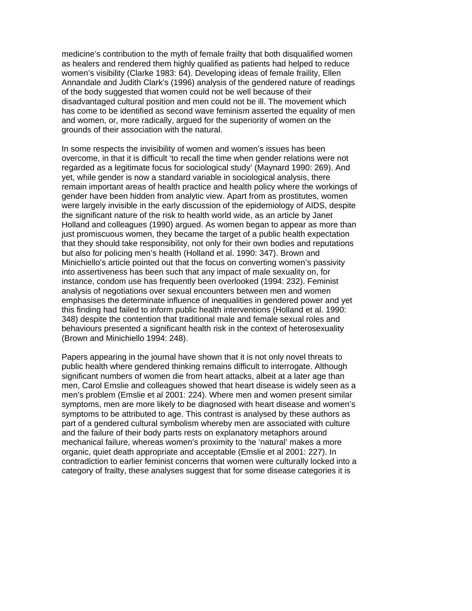medicine's contribution to the myth of female frailty that both disqualified women as healers and rendered them highly qualified as patients had helped to reduce women's visibility (Clarke 1983: 64). Developing ideas of female fraility, Ellen Annandale and Judith Clark's (1996) analysis of the gendered nature of readings of the body suggested that women could not be well because of their disadvantaged cultural position and men could not be ill. The movement which has come to be identified as second wave feminism asserted the equality of men and women, or, more radically, argued for the superiority of women on the grounds of their association with the natural.

In some respects the invisibility of women and women's issues has been overcome, in that it is difficult 'to recall the time when gender relations were not regarded as a legitimate focus for sociological study' (Maynard 1990: 269). And yet, while gender is now a standard variable in sociological analysis, there remain important areas of health practice and health policy where the workings of gender have been hidden from analytic view. Apart from as prostitutes, women were largely invisible in the early discussion of the epidemiology of AIDS, despite the significant nature of the risk to health world wide, as an article by Janet Holland and colleagues (1990) argued. As women began to appear as more than just promiscuous women, they became the target of a public health expectation that they should take responsibility, not only for their own bodies and reputations but also for policing men's health (Holland et al. 1990: 347). Brown and Minichiello's article pointed out that the focus on converting women's passivity into assertiveness has been such that any impact of male sexuality on, for instance, condom use has frequently been overlooked (1994: 232). Feminist analysis of negotiations over sexual encounters between men and women emphasises the determinate influence of inequalities in gendered power and yet this finding had failed to inform public health interventions (Holland et al. 1990: 348) despite the contention that traditional male and female sexual roles and behaviours presented a significant health risk in the context of heterosexuality (Brown and Minichiello 1994: 248).

Papers appearing in the journal have shown that it is not only novel threats to public health where gendered thinking remains difficult to interrogate. Although significant numbers of women die from heart attacks, albeit at a later age than men, Carol Emslie and colleagues showed that heart disease is widely seen as a men's problem (Emslie et al 2001: 224). Where men and women present similar symptoms, men are more likely to be diagnosed with heart disease and women's symptoms to be attributed to age. This contrast is analysed by these authors as part of a gendered cultural symbolism whereby men are associated with culture and the failure of their body parts rests on explanatory metaphors around mechanical failure, whereas women's proximity to the 'natural' makes a more organic, quiet death appropriate and acceptable (Emslie et al 2001: 227). In contradiction to earlier feminist concerns that women were culturally locked into a category of frailty, these analyses suggest that for some disease categories it is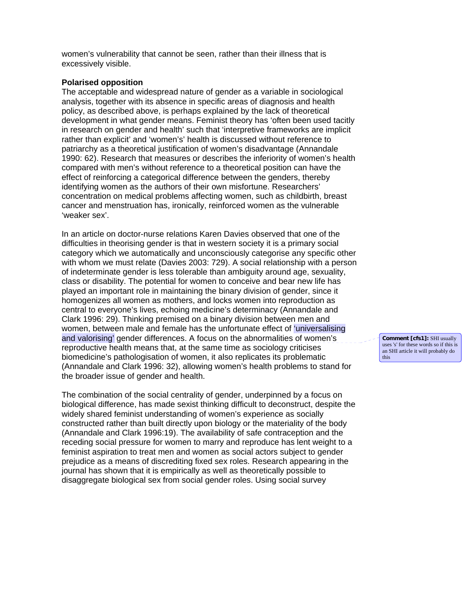women's vulnerability that cannot be seen, rather than their illness that is excessively visible.

# **Polarised opposition**

The acceptable and widespread nature of gender as a variable in sociological analysis, together with its absence in specific areas of diagnosis and health policy, as described above, is perhaps explained by the lack of theoretical development in what gender means. Feminist theory has 'often been used tacitly in research on gender and health' such that 'interpretive frameworks are implicit rather than explicit' and 'women's' health is discussed without reference to patriarchy as a theoretical justification of women's disadvantage (Annandale 1990: 62). Research that measures or describes the inferiority of women's health compared with men's without reference to a theoretical position can have the effect of reinforcing a categorical difference between the genders, thereby identifying women as the authors of their own misfortune. Researchers' concentration on medical problems affecting women, such as childbirth, breast cancer and menstruation has, ironically, reinforced women as the vulnerable 'weaker sex'.

In an article on doctor-nurse relations Karen Davies observed that one of the difficulties in theorising gender is that in western society it is a primary social category which we automatically and unconsciously categorise any specific other with whom we must relate (Davies 2003: 729). A social relationship with a person of indeterminate gender is less tolerable than ambiguity around age, sexuality, class or disability. The potential for women to conceive and bear new life has played an important role in maintaining the binary division of gender, since it homogenizes all women as mothers, and locks women into reproduction as central to everyone's lives, echoing medicine's determinacy (Annandale and Clark 1996: 29). Thinking premised on a binary division between men and women, between male and female has the unfortunate effect of 'universalising and valorising' gender differences. A focus on the abnormalities of women's reproductive health means that, at the same time as sociology criticises biomedicine's pathologisation of women, it also replicates its problematic (Annandale and Clark 1996: 32), allowing women's health problems to stand for the broader issue of gender and health.

The combination of the social centrality of gender, underpinned by a focus on biological difference, has made sexist thinking difficult to deconstruct, despite the widely shared feminist understanding of women's experience as socially constructed rather than built directly upon biology or the materiality of the body (Annandale and Clark 1996:19). The availability of safe contraception and the receding social pressure for women to marry and reproduce has lent weight to a feminist aspiration to treat men and women as social actors subject to gender prejudice as a means of discrediting fixed sex roles. Research appearing in the journal has shown that it is empirically as well as theoretically possible to disaggregate biological sex from social gender roles. Using social survey

**Comment [cfs1]:** SHI usually uses 's' for these words so if this is an SHI article it will probably do this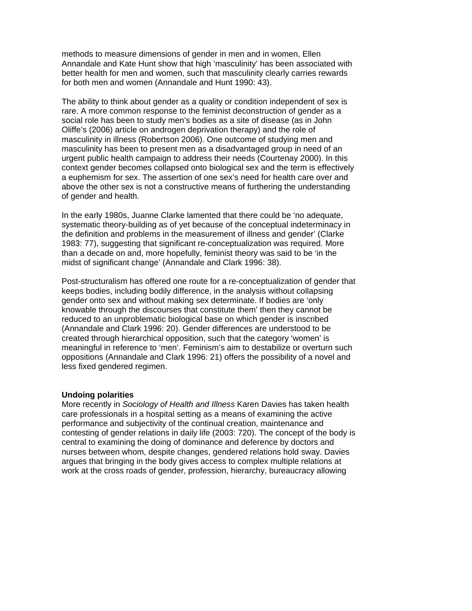methods to measure dimensions of gender in men and in women, Ellen Annandale and Kate Hunt show that high 'masculinity' has been associated with better health for men and women, such that masculinity clearly carries rewards for both men and women (Annandale and Hunt 1990: 43).

The ability to think about gender as a quality or condition independent of sex is rare. A more common response to the feminist deconstruction of gender as a social role has been to study men's bodies as a site of disease (as in John Oliffe's (2006) article on androgen deprivation therapy) and the role of masculinity in illness (Robertson 2006). One outcome of studying men and masculinity has been to present men as a disadvantaged group in need of an urgent public health campaign to address their needs (Courtenay 2000). In this context gender becomes collapsed onto biological sex and the term is effectively a euphemism for sex. The assertion of one sex's need for health care over and above the other sex is not a constructive means of furthering the understanding of gender and health.

In the early 1980s, Juanne Clarke lamented that there could be 'no adequate, systematic theory-building as of yet because of the conceptual indeterminacy in the definition and problems in the measurement of illness and gender' (Clarke 1983: 77), suggesting that significant re-conceptualization was required. More than a decade on and, more hopefully, feminist theory was said to be 'in the midst of significant change' (Annandale and Clark 1996: 38).

Post-structuralism has offered one route for a re-conceptualization of gender that keeps bodies, including bodily difference, in the analysis without collapsing gender onto sex and without making sex determinate. If bodies are 'only knowable through the discourses that constitute them' then they cannot be reduced to an unproblematic biological base on which gender is inscribed (Annandale and Clark 1996: 20). Gender differences are understood to be created through hierarchical opposition, such that the category 'women' is meaningful in reference to 'men'. Feminism's aim to destabilize or overturn such oppositions (Annandale and Clark 1996: 21) offers the possibility of a novel and less fixed gendered regimen.

# **Undoing polarities**

More recently in *Sociology of Health and Illness* Karen Davies has taken health care professionals in a hospital setting as a means of examining the active performance and subjectivity of the continual creation, maintenance and contesting of gender relations in daily life (2003: 720). The concept of the body is central to examining the doing of dominance and deference by doctors and nurses between whom, despite changes, gendered relations hold sway. Davies argues that bringing in the body gives access to complex multiple relations at work at the cross roads of gender, profession, hierarchy, bureaucracy allowing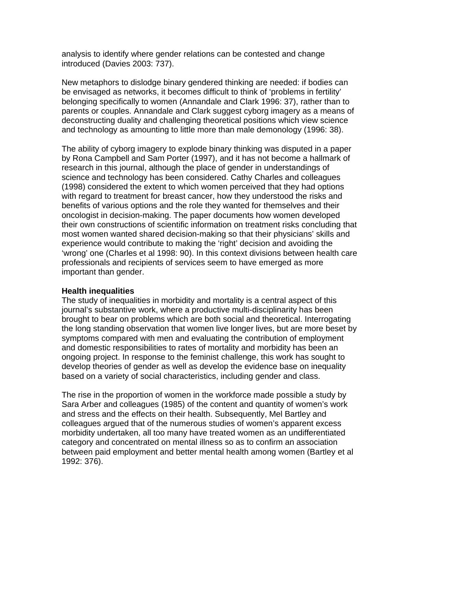analysis to identify where gender relations can be contested and change introduced (Davies 2003: 737).

New metaphors to dislodge binary gendered thinking are needed: if bodies can be envisaged as networks, it becomes difficult to think of 'problems in fertility' belonging specifically to women (Annandale and Clark 1996: 37), rather than to parents or couples. Annandale and Clark suggest cyborg imagery as a means of deconstructing duality and challenging theoretical positions which view science and technology as amounting to little more than male demonology (1996: 38).

The ability of cyborg imagery to explode binary thinking was disputed in a paper by Rona Campbell and Sam Porter (1997), and it has not become a hallmark of research in this journal, although the place of gender in understandings of science and technology has been considered. Cathy Charles and colleagues (1998) considered the extent to which women perceived that they had options with regard to treatment for breast cancer, how they understood the risks and benefits of various options and the role they wanted for themselves and their oncologist in decision-making. The paper documents how women developed their own constructions of scientific information on treatment risks concluding that most women wanted shared decision-making so that their physicians' skills and experience would contribute to making the 'right' decision and avoiding the 'wrong' one (Charles et al 1998: 90). In this context divisions between health care professionals and recipients of services seem to have emerged as more important than gender.

# **Health inequalities**

The study of inequalities in morbidity and mortality is a central aspect of this journal's substantive work, where a productive multi-disciplinarity has been brought to bear on problems which are both social and theoretical. Interrogating the long standing observation that women live longer lives, but are more beset by symptoms compared with men and evaluating the contribution of employment and domestic responsibilities to rates of mortality and morbidity has been an ongoing project. In response to the feminist challenge, this work has sought to develop theories of gender as well as develop the evidence base on inequality based on a variety of social characteristics, including gender and class.

The rise in the proportion of women in the workforce made possible a study by Sara Arber and colleagues (1985) of the content and quantity of women's work and stress and the effects on their health. Subsequently, Mel Bartley and colleagues argued that of the numerous studies of women's apparent excess morbidity undertaken, all too many have treated women as an undifferentiated category and concentrated on mental illness so as to confirm an association between paid employment and better mental health among women (Bartley et al 1992: 376).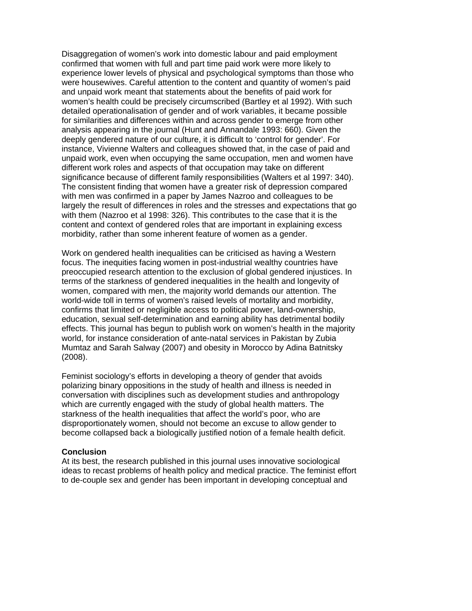Disaggregation of women's work into domestic labour and paid employment confirmed that women with full and part time paid work were more likely to experience lower levels of physical and psychological symptoms than those who were housewives. Careful attention to the content and quantity of women's paid and unpaid work meant that statements about the benefits of paid work for women's health could be precisely circumscribed (Bartley et al 1992). With such detailed operationalisation of gender and of work variables, it became possible for similarities and differences within and across gender to emerge from other analysis appearing in the journal (Hunt and Annandale 1993: 660). Given the deeply gendered nature of our culture, it is difficult to 'control for gender'. For instance, Vivienne Walters and colleagues showed that, in the case of paid and unpaid work, even when occupying the same occupation, men and women have different work roles and aspects of that occupation may take on different significance because of different family responsibilities (Walters et al 1997: 340). The consistent finding that women have a greater risk of depression compared with men was confirmed in a paper by James Nazroo and colleagues to be largely the result of differences in roles and the stresses and expectations that go with them (Nazroo et al 1998: 326). This contributes to the case that it is the content and context of gendered roles that are important in explaining excess morbidity, rather than some inherent feature of women as a gender.

Work on gendered health inequalities can be criticised as having a Western focus. The inequities facing women in post-industrial wealthy countries have preoccupied research attention to the exclusion of global gendered injustices. In terms of the starkness of gendered inequalities in the health and longevity of women, compared with men, the majority world demands our attention. The world-wide toll in terms of women's raised levels of mortality and morbidity, confirms that limited or negligible access to political power, land-ownership, education, sexual self-determination and earning ability has detrimental bodily effects. This journal has begun to publish work on women's health in the majority world, for instance consideration of ante-natal services in Pakistan by Zubia Mumtaz and Sarah Salway (2007) and obesity in Morocco by Adina Batnitsky (2008).

Feminist sociology's efforts in developing a theory of gender that avoids polarizing binary oppositions in the study of health and illness is needed in conversation with disciplines such as development studies and anthropology which are currently engaged with the study of global health matters. The starkness of the health inequalities that affect the world's poor, who are disproportionately women, should not become an excuse to allow gender to become collapsed back a biologically justified notion of a female health deficit.

# **Conclusion**

At its best, the research published in this journal uses innovative sociological ideas to recast problems of health policy and medical practice. The feminist effort to de-couple sex and gender has been important in developing conceptual and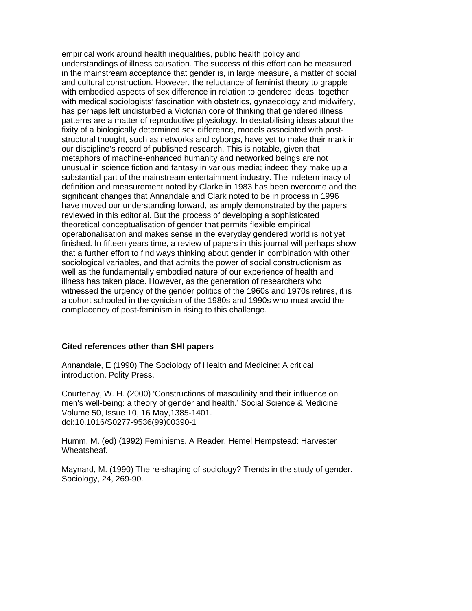empirical work around health inequalities, public health policy and understandings of illness causation. The success of this effort can be measured in the mainstream acceptance that gender is, in large measure, a matter of social and cultural construction. However, the reluctance of feminist theory to grapple with embodied aspects of sex difference in relation to gendered ideas, together with medical sociologists' fascination with obstetrics, gynaecology and midwifery, has perhaps left undisturbed a Victorian core of thinking that gendered illness patterns are a matter of reproductive physiology. In destabilising ideas about the fixity of a biologically determined sex difference, models associated with poststructural thought, such as networks and cyborgs, have yet to make their mark in our discipline's record of published research. This is notable, given that metaphors of machine-enhanced humanity and networked beings are not unusual in science fiction and fantasy in various media; indeed they make up a substantial part of the mainstream entertainment industry. The indeterminacy of definition and measurement noted by Clarke in 1983 has been overcome and the significant changes that Annandale and Clark noted to be in process in 1996 have moved our understanding forward, as amply demonstrated by the papers reviewed in this editorial. But the process of developing a sophisticated theoretical conceptualisation of gender that permits flexible empirical operationalisation and makes sense in the everyday gendered world is not yet finished. In fifteen years time, a review of papers in this journal will perhaps show that a further effort to find ways thinking about gender in combination with other sociological variables, and that admits the power of social constructionism as well as the fundamentally embodied nature of our experience of health and illness has taken place. However, as the generation of researchers who witnessed the urgency of the gender politics of the 1960s and 1970s retires, it is a cohort schooled in the cynicism of the 1980s and 1990s who must avoid the complacency of post-feminism in rising to this challenge.

# **Cited references other than SHI papers**

Annandale, E (1990) The Sociology of Health and Medicine: A critical introduction. Polity Press.

Courtenay, W. H. (2000) 'Constructions of masculinity and their influence on men's well-being: a theory of gender and health.' [Social Science & Medicine](http://www.sciencedirect.com/science/journal/02779536) [Volume 50, Issue 10](http://www.sciencedirect.com/science?_ob=PublicationURL&_tockey=%23TOC%235925%232000%23999499989%23163152%23FLA%23&_cdi=5925&_pubType=J&_auth=y&_acct=C000029838&_version=1&_urlVersion=0&_userid=6875580&md5=445ca9b2fafec686915a0c5413e602f7), 16 May,1385-1401. [doi:10.1016/S0277-9536\(99\)00390-1](http://dx.doi.org/10.1016/S0277-9536(99)00390-1)

Humm, M. (ed) (1992) Feminisms. A Reader. Hemel Hempstead: Harvester Wheatsheaf.

Maynard, M. (1990) The re-shaping of sociology? Trends in the study of gender. Sociology, 24, 269-90.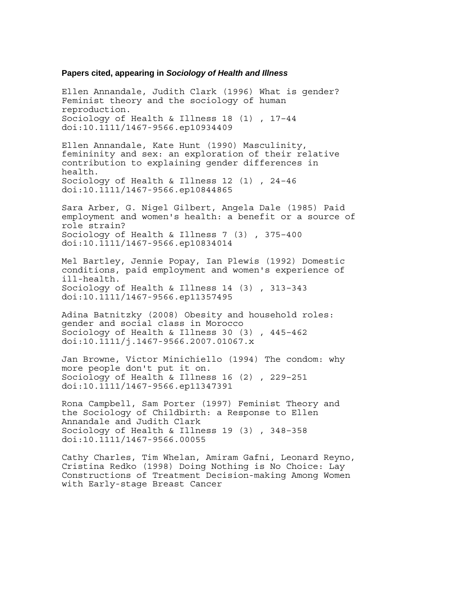### **Papers cited, appearing in** *Sociology of Health and Illness*

Ellen Annandale, Judith Clark (1996) What is gender? Feminist theory and the sociology of human reproduction. Sociology of Health & Illness 18 (1) , 17–44 doi:10.1111/1467-9566.ep10934409

Ellen Annandale, Kate Hunt (1990) Masculinity, femininity and sex: an exploration of their relative contribution to explaining gender differences in health. Sociology of Health & Illness 12 (1) , 24–46 doi:10.1111/1467-9566.ep10844865

Sara Arber, G. Nigel Gilbert, Angela Dale (1985) Paid employment and women's health: a benefit or a source of role strain? Sociology of Health & Illness 7 (3) , 375–400 doi:10.1111/1467-9566.ep10834014

Mel Bartley, Jennie Popay, Ian Plewis (1992) Domestic conditions, paid employment and women's experience of ill-health. Sociology of Health & Illness 14 (3) , 313–343 doi:10.1111/1467-9566.ep11357495

Adina Batnitzky (2008) Obesity and household roles: gender and social class in Morocco Sociology of Health & Illness 30 (3) , 445–462 doi:10.1111/j.1467-9566.2007.01067.x

Jan Browne, Victor Minichiello (1994) The condom: why more people don't put it on. Sociology of Health & Illness 16 (2) , 229–251 doi:10.1111/1467-9566.ep11347391

Rona Campbell, Sam Porter (1997) Feminist Theory and the Sociology of Childbirth: a Response to Ellen Annandale and Judith Clark Sociology of Health & Illness 19 (3) , 348–358 doi:10.1111/1467-9566.00055

Cathy Charles, Tim Whelan, Amiram Gafni, Leonard Reyno, Cristina Redko (1998) Doing Nothing is No Choice: Lay Constructions of Treatment Decision-making Among Women with Early-stage Breast Cancer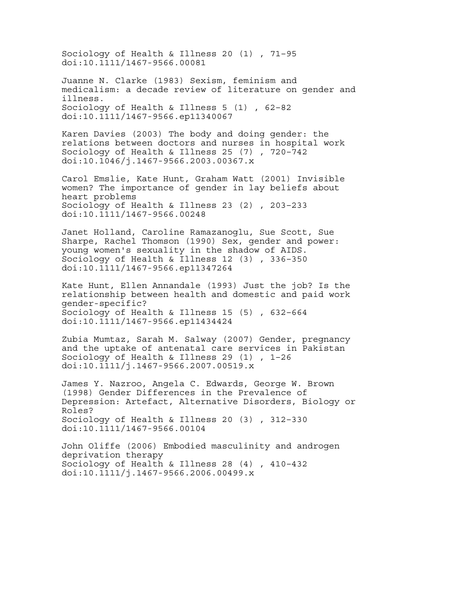Sociology of Health & Illness 20 (1) , 71–95 doi:10.1111/1467-9566.00081

Juanne N. Clarke (1983) Sexism, feminism and medicalism: a decade review of literature on gender and illness. Sociology of Health & Illness 5 (1) , 62–82 doi:10.1111/1467-9566.ep11340067

Karen Davies (2003) The body and doing gender: the relations between doctors and nurses in hospital work Sociology of Health & Illness 25 (7) , 720–742 doi:10.1046/j.1467-9566.2003.00367.x

Carol Emslie, Kate Hunt, Graham Watt (2001) Invisible women? The importance of gender in lay beliefs about heart problems Sociology of Health & Illness 23 (2) , 203–233 doi:10.1111/1467-9566.00248

Janet Holland, Caroline Ramazanoglu, Sue Scott, Sue Sharpe, Rachel Thomson (1990) Sex, gender and power: young women's sexuality in the shadow of AIDS. Sociology of Health & Illness 12 (3) , 336–350 doi:10.1111/1467-9566.ep11347264

Kate Hunt, Ellen Annandale (1993) Just the job? Is the relationship between health and domestic and paid work gender-specific? Sociology of Health & Illness 15 (5) , 632–664 doi:10.1111/1467-9566.ep11434424

Zubia Mumtaz, Sarah M. Salway (2007) Gender, pregnancy and the uptake of antenatal care services in Pakistan Sociology of Health & Illness 29 (1) , 1–26 doi:10.1111/j.1467-9566.2007.00519.x

James Y. Nazroo, Angela C. Edwards, George W. Brown (1998) Gender Differences in the Prevalence of Depression: Artefact, Alternative Disorders, Biology or Roles? Sociology of Health & Illness 20 (3) , 312–330 doi:10.1111/1467-9566.00104

John Oliffe (2006) Embodied masculinity and androgen deprivation therapy Sociology of Health & Illness 28 (4) , 410–432 doi:10.1111/j.1467-9566.2006.00499.x